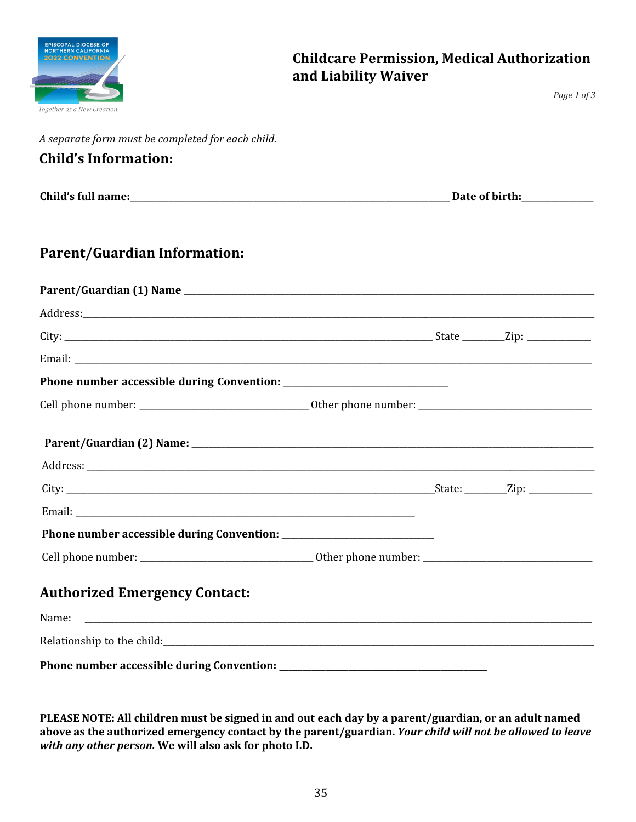

*Page 1 of 3*

*A separate form must be completed for each child.* 

#### **Child's Information:**

| Child's full name: | Date of birth. |
|--------------------|----------------|
|--------------------|----------------|

#### **Parent/Guardian Information:**

| <b>Authorized Emergency Contact:</b> |  |  |
|--------------------------------------|--|--|
|                                      |  |  |
|                                      |  |  |
|                                      |  |  |

**PLEASE NOTE: All children must be signed in and out each day by a parent/guardian, or an adult named above as the authorized emergency contact by the parent/guardian.** *Your child will not be allowed to leave with any other person.* **We will also ask for photo I.D.**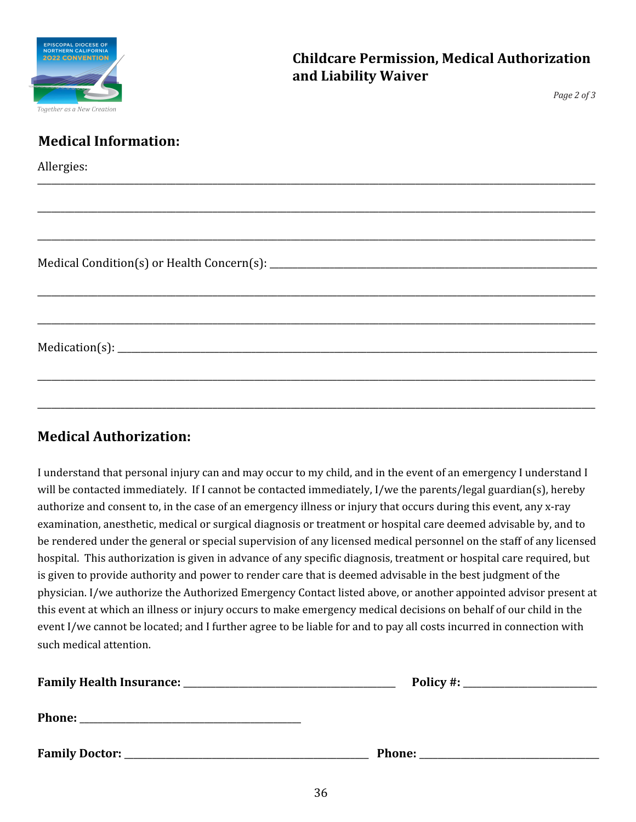| <b>EPISCOPAL DIOCESE OF</b><br><b>NORTHERN CALIFORNIA</b> |
|-----------------------------------------------------------|
| <b>2022 CONVENTION</b>                                    |
|                                                           |
|                                                           |
| Together as a New Creation                                |

*Page 2 of 3*

| <b>Medical Information:</b> |
|-----------------------------|
| Allergies:                  |
|                             |
|                             |
|                             |
|                             |
|                             |
|                             |
|                             |

#### **Medical Authorization:**

I understand that personal injury can and may occur to my child, and in the event of an emergency I understand I will be contacted immediately. If I cannot be contacted immediately, I/we the parents/legal guardian(s), hereby authorize and consent to, in the case of an emergency illness or injury that occurs during this event, any x-ray examination, anesthetic, medical or surgical diagnosis or treatment or hospital care deemed advisable by, and to be rendered under the general or special supervision of any licensed medical personnel on the staff of any licensed hospital. This authorization is given in advance of any specific diagnosis, treatment or hospital care required, but is given to provide authority and power to render care that is deemed advisable in the best judgment of the physician. I/we authorize the Authorized Emergency Contact listed above, or another appointed advisor present at this event at which an illness or injury occurs to make emergency medical decisions on behalf of our child in the event I/we cannot be located; and I further agree to be liable for and to pay all costs incurred in connection with such medical attention.

|                         | $Policy \#:$  |  |
|-------------------------|---------------|--|
| <b>Phone:</b>           |               |  |
| <b>Family Doctor: _</b> | <b>Phone:</b> |  |